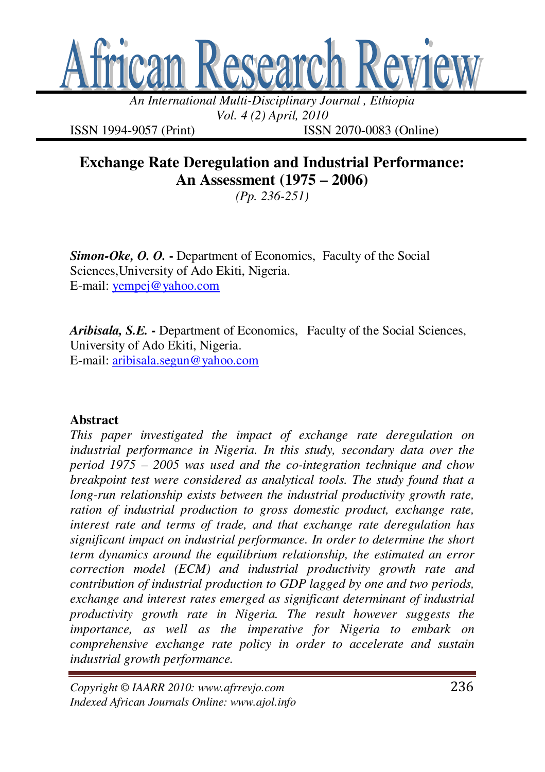

*An International Multi-Disciplinary Journal , Ethiopia Vol. 4 (2) April, 2010* 

ISSN 1994-9057 (Print) ISSN 2070-0083 (Online)

# **Exchange Rate Deregulation and Industrial Performance: An Assessment (1975 – 2006)**

*(Pp. 236-251)* 

**Simon-Oke, O. O.** - Department of Economics, Faculty of the Social Sciences,University of Ado Ekiti, Nigeria. E-mail: yempej@yahoo.com

*Aribisala, S.E.* **-** Department of Economics, Faculty of the Social Sciences, University of Ado Ekiti, Nigeria. E-mail: aribisala.segun@yahoo.com

#### **Abstract**

*This paper investigated the impact of exchange rate deregulation on industrial performance in Nigeria. In this study, secondary data over the period 1975 – 2005 was used and the co-integration technique and chow breakpoint test were considered as analytical tools. The study found that a long-run relationship exists between the industrial productivity growth rate, ration of industrial production to gross domestic product, exchange rate, interest rate and terms of trade, and that exchange rate deregulation has significant impact on industrial performance. In order to determine the short term dynamics around the equilibrium relationship, the estimated an error correction model (ECM) and industrial productivity growth rate and contribution of industrial production to GDP lagged by one and two periods, exchange and interest rates emerged as significant determinant of industrial productivity growth rate in Nigeria. The result however suggests the importance, as well as the imperative for Nigeria to embark on comprehensive exchange rate policy in order to accelerate and sustain industrial growth performance.*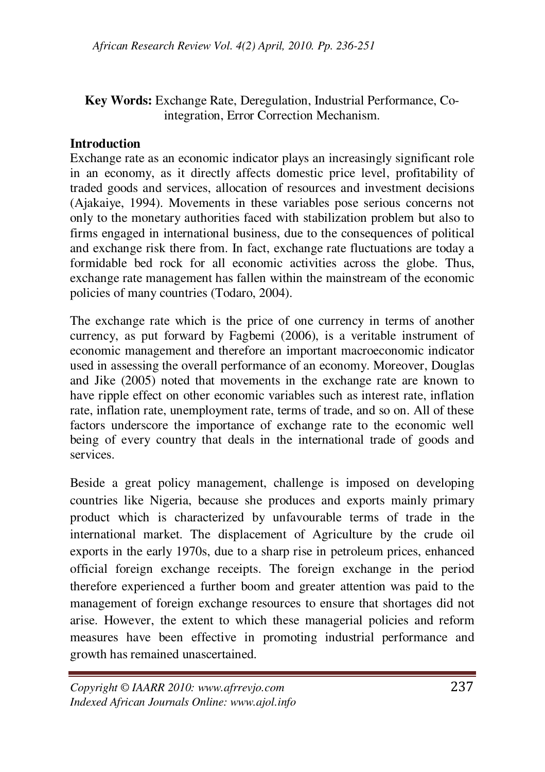#### **Key Words:** Exchange Rate, Deregulation, Industrial Performance, Cointegration, Error Correction Mechanism.

#### **Introduction**

Exchange rate as an economic indicator plays an increasingly significant role in an economy, as it directly affects domestic price level, profitability of traded goods and services, allocation of resources and investment decisions (Ajakaiye, 1994). Movements in these variables pose serious concerns not only to the monetary authorities faced with stabilization problem but also to firms engaged in international business, due to the consequences of political and exchange risk there from. In fact, exchange rate fluctuations are today a formidable bed rock for all economic activities across the globe. Thus, exchange rate management has fallen within the mainstream of the economic policies of many countries (Todaro, 2004).

The exchange rate which is the price of one currency in terms of another currency, as put forward by Fagbemi (2006), is a veritable instrument of economic management and therefore an important macroeconomic indicator used in assessing the overall performance of an economy. Moreover, Douglas and Jike (2005) noted that movements in the exchange rate are known to have ripple effect on other economic variables such as interest rate, inflation rate, inflation rate, unemployment rate, terms of trade, and so on. All of these factors underscore the importance of exchange rate to the economic well being of every country that deals in the international trade of goods and services.

Beside a great policy management, challenge is imposed on developing countries like Nigeria, because she produces and exports mainly primary product which is characterized by unfavourable terms of trade in the international market. The displacement of Agriculture by the crude oil exports in the early 1970s, due to a sharp rise in petroleum prices, enhanced official foreign exchange receipts. The foreign exchange in the period therefore experienced a further boom and greater attention was paid to the management of foreign exchange resources to ensure that shortages did not arise. However, the extent to which these managerial policies and reform measures have been effective in promoting industrial performance and growth has remained unascertained.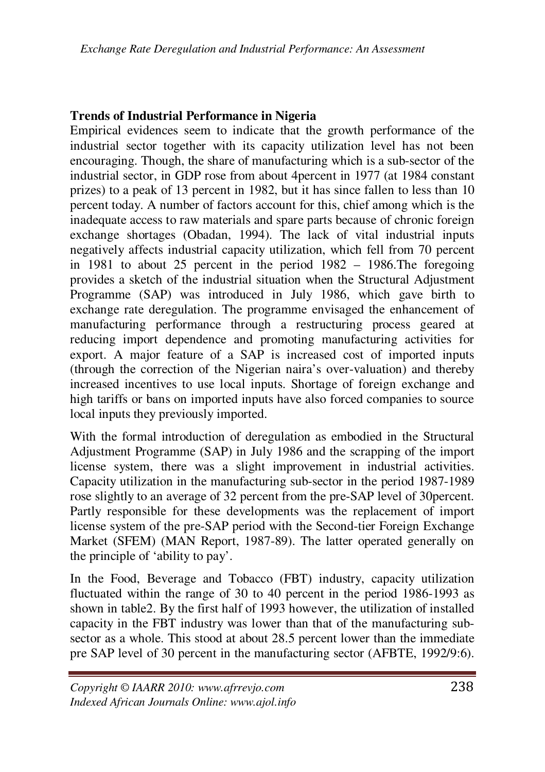#### **Trends of Industrial Performance in Nigeria**

Empirical evidences seem to indicate that the growth performance of the industrial sector together with its capacity utilization level has not been encouraging. Though, the share of manufacturing which is a sub-sector of the industrial sector, in GDP rose from about 4percent in 1977 (at 1984 constant prizes) to a peak of 13 percent in 1982, but it has since fallen to less than 10 percent today. A number of factors account for this, chief among which is the inadequate access to raw materials and spare parts because of chronic foreign exchange shortages (Obadan, 1994). The lack of vital industrial inputs negatively affects industrial capacity utilization, which fell from 70 percent in 1981 to about 25 percent in the period 1982 – 1986.The foregoing provides a sketch of the industrial situation when the Structural Adjustment Programme (SAP) was introduced in July 1986, which gave birth to exchange rate deregulation. The programme envisaged the enhancement of manufacturing performance through a restructuring process geared at reducing import dependence and promoting manufacturing activities for export. A major feature of a SAP is increased cost of imported inputs (through the correction of the Nigerian naira's over-valuation) and thereby increased incentives to use local inputs. Shortage of foreign exchange and high tariffs or bans on imported inputs have also forced companies to source local inputs they previously imported.

With the formal introduction of deregulation as embodied in the Structural Adjustment Programme (SAP) in July 1986 and the scrapping of the import license system, there was a slight improvement in industrial activities. Capacity utilization in the manufacturing sub-sector in the period 1987-1989 rose slightly to an average of 32 percent from the pre-SAP level of 30percent. Partly responsible for these developments was the replacement of import license system of the pre-SAP period with the Second-tier Foreign Exchange Market (SFEM) (MAN Report, 1987-89). The latter operated generally on the principle of 'ability to pay'.

In the Food, Beverage and Tobacco (FBT) industry, capacity utilization fluctuated within the range of 30 to 40 percent in the period 1986-1993 as shown in table2. By the first half of 1993 however, the utilization of installed capacity in the FBT industry was lower than that of the manufacturing subsector as a whole. This stood at about 28.5 percent lower than the immediate pre SAP level of 30 percent in the manufacturing sector (AFBTE, 1992/9:6).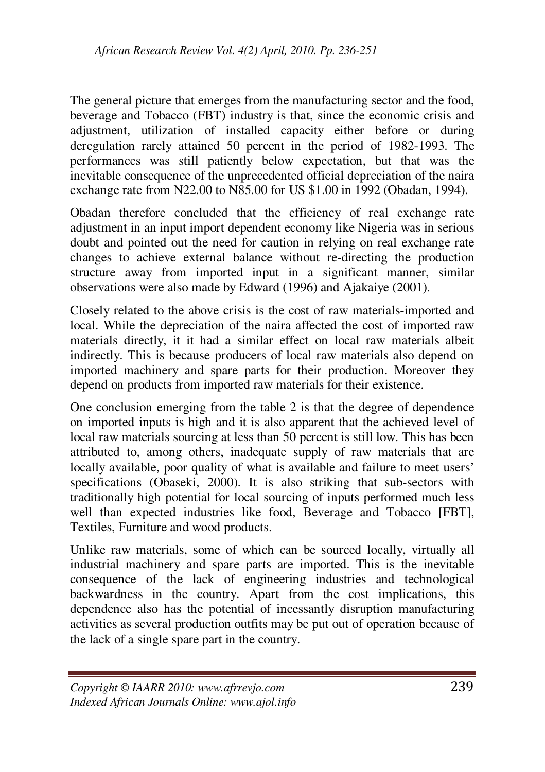The general picture that emerges from the manufacturing sector and the food, beverage and Tobacco (FBT) industry is that, since the economic crisis and adjustment, utilization of installed capacity either before or during deregulation rarely attained 50 percent in the period of 1982-1993. The performances was still patiently below expectation, but that was the inevitable consequence of the unprecedented official depreciation of the naira exchange rate from N22.00 to N85.00 for US \$1.00 in 1992 (Obadan, 1994).

Obadan therefore concluded that the efficiency of real exchange rate adjustment in an input import dependent economy like Nigeria was in serious doubt and pointed out the need for caution in relying on real exchange rate changes to achieve external balance without re-directing the production structure away from imported input in a significant manner, similar observations were also made by Edward (1996) and Ajakaiye (2001).

Closely related to the above crisis is the cost of raw materials-imported and local. While the depreciation of the naira affected the cost of imported raw materials directly, it it had a similar effect on local raw materials albeit indirectly. This is because producers of local raw materials also depend on imported machinery and spare parts for their production. Moreover they depend on products from imported raw materials for their existence.

One conclusion emerging from the table 2 is that the degree of dependence on imported inputs is high and it is also apparent that the achieved level of local raw materials sourcing at less than 50 percent is still low. This has been attributed to, among others, inadequate supply of raw materials that are locally available, poor quality of what is available and failure to meet users' specifications (Obaseki, 2000). It is also striking that sub-sectors with traditionally high potential for local sourcing of inputs performed much less well than expected industries like food, Beverage and Tobacco [FBT], Textiles, Furniture and wood products.

Unlike raw materials, some of which can be sourced locally, virtually all industrial machinery and spare parts are imported. This is the inevitable consequence of the lack of engineering industries and technological backwardness in the country. Apart from the cost implications, this dependence also has the potential of incessantly disruption manufacturing activities as several production outfits may be put out of operation because of the lack of a single spare part in the country.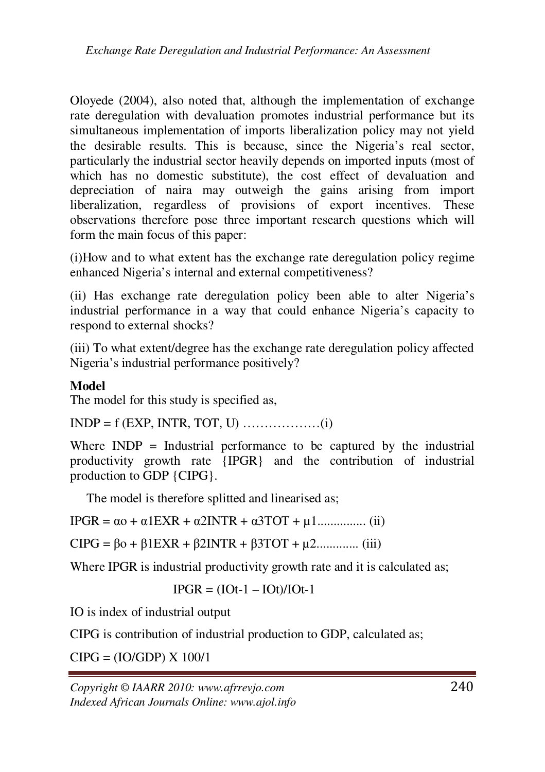Oloyede (2004), also noted that, although the implementation of exchange rate deregulation with devaluation promotes industrial performance but its simultaneous implementation of imports liberalization policy may not yield the desirable results. This is because, since the Nigeria's real sector, particularly the industrial sector heavily depends on imported inputs (most of which has no domestic substitute), the cost effect of devaluation and depreciation of naira may outweigh the gains arising from import liberalization, regardless of provisions of export incentives. These observations therefore pose three important research questions which will form the main focus of this paper:

(i)How and to what extent has the exchange rate deregulation policy regime enhanced Nigeria's internal and external competitiveness?

(ii) Has exchange rate deregulation policy been able to alter Nigeria's industrial performance in a way that could enhance Nigeria's capacity to respond to external shocks?

(iii) To what extent/degree has the exchange rate deregulation policy affected Nigeria's industrial performance positively?

## **Model**

The model for this study is specified as,

INDP = f (EXP, INTR, TOT, U) ………………(i)

Where  $INDP = Industrial$  performance to be captured by the industrial productivity growth rate {IPGR} and the contribution of industrial production to GDP {CIPG}.

The model is therefore splitted and linearised as;

IPGR = αo + α1EXR + α2INTR + α3TOT + µ1............... (ii)

CIPG = βo + β1EXR + β2INTR + β3TOT + µ2............. (iii)

Where IPGR is industrial productivity growth rate and it is calculated as;

 $IPGR = (IOt-1 - IOt)/IOt-1$ 

IO is index of industrial output

CIPG is contribution of industrial production to GDP, calculated as;

CIPG = (IO/GDP) X 100/1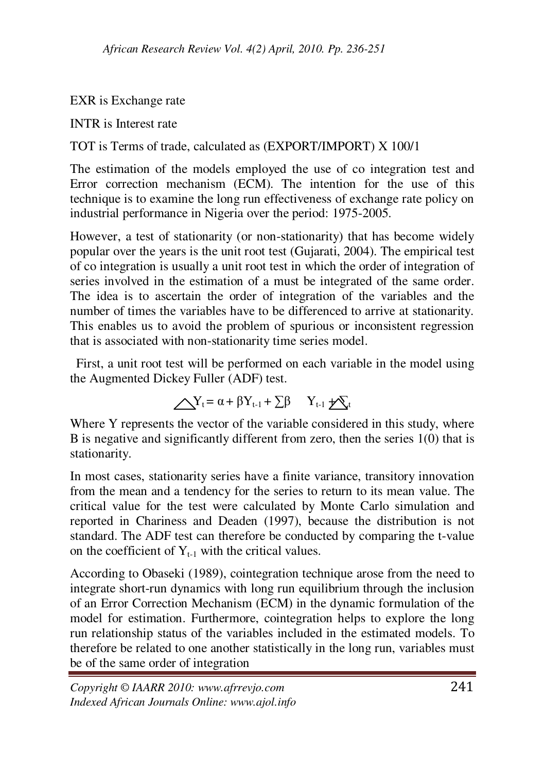EXR is Exchange rate

INTR is Interest rate

TOT is Terms of trade, calculated as (EXPORT/IMPORT) X 100/1

The estimation of the models employed the use of co integration test and Error correction mechanism (ECM). The intention for the use of this technique is to examine the long run effectiveness of exchange rate policy on industrial performance in Nigeria over the period: 1975-2005.

However, a test of stationarity (or non-stationarity) that has become widely popular over the years is the unit root test (Gujarati, 2004). The empirical test of co integration is usually a unit root test in which the order of integration of series involved in the estimation of a must be integrated of the same order. The idea is to ascertain the order of integration of the variables and the number of times the variables have to be differenced to arrive at stationarity. This enables us to avoid the problem of spurious or inconsistent regression that is associated with non-stationarity time series model.

 First, a unit root test will be performed on each variable in the model using the Augmented Dickey Fuller (ADF) test.

$$
\bigwedge Y_t = \alpha + \beta Y_{t-1} + \sum \beta \qquad Y_{t-1} \neq Y_t
$$

Where Y represents the vector of the variable considered in this study, where B is negative and significantly different from zero, then the series 1(0) that is stationarity.

In most cases, stationarity series have a finite variance, transitory innovation from the mean and a tendency for the series to return to its mean value. The critical value for the test were calculated by Monte Carlo simulation and reported in Chariness and Deaden (1997), because the distribution is not standard. The ADF test can therefore be conducted by comparing the t-value on the coefficient of  $Y_{t-1}$  with the critical values.

According to Obaseki (1989), cointegration technique arose from the need to integrate short-run dynamics with long run equilibrium through the inclusion of an Error Correction Mechanism (ECM) in the dynamic formulation of the model for estimation. Furthermore, cointegration helps to explore the long run relationship status of the variables included in the estimated models. To therefore be related to one another statistically in the long run, variables must be of the same order of integration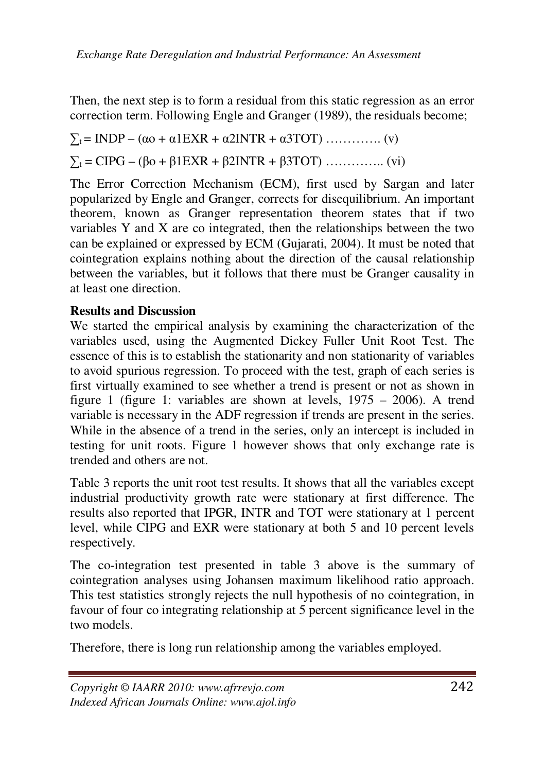Then, the next step is to form a residual from this static regression as an error correction term. Following Engle and Granger (1989), the residuals become;

∑t = INDP – (αo + α1EXR + α2INTR + α3TOT) …………. (v) ∑t = CIPG – (βo + β1EXR + β2INTR + β3TOT) ………….. (vi)

The Error Correction Mechanism (ECM), first used by Sargan and later popularized by Engle and Granger, corrects for disequilibrium. An important theorem, known as Granger representation theorem states that if two variables Y and X are co integrated, then the relationships between the two can be explained or expressed by ECM (Gujarati, 2004). It must be noted that cointegration explains nothing about the direction of the causal relationship between the variables, but it follows that there must be Granger causality in at least one direction.

#### **Results and Discussion**

We started the empirical analysis by examining the characterization of the variables used, using the Augmented Dickey Fuller Unit Root Test. The essence of this is to establish the stationarity and non stationarity of variables to avoid spurious regression. To proceed with the test, graph of each series is first virtually examined to see whether a trend is present or not as shown in figure 1 (figure 1: variables are shown at levels, 1975 – 2006). A trend variable is necessary in the ADF regression if trends are present in the series. While in the absence of a trend in the series, only an intercept is included in testing for unit roots. Figure 1 however shows that only exchange rate is trended and others are not.

Table 3 reports the unit root test results. It shows that all the variables except industrial productivity growth rate were stationary at first difference. The results also reported that IPGR, INTR and TOT were stationary at 1 percent level, while CIPG and EXR were stationary at both 5 and 10 percent levels respectively.

The co-integration test presented in table 3 above is the summary of cointegration analyses using Johansen maximum likelihood ratio approach. This test statistics strongly rejects the null hypothesis of no cointegration, in favour of four co integrating relationship at 5 percent significance level in the two models.

Therefore, there is long run relationship among the variables employed.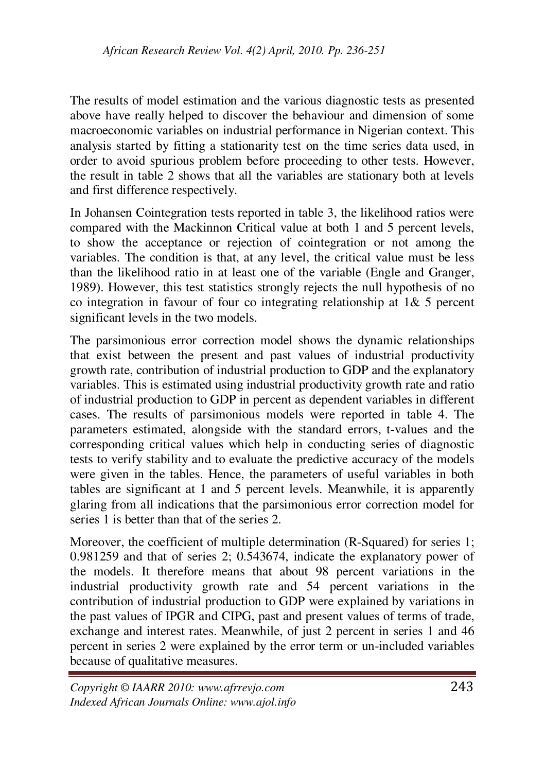The results of model estimation and the various diagnostic tests as presented above have really helped to discover the behaviour and dimension of some macroeconomic variables on industrial performance in Nigerian context. This analysis started by fitting a stationarity test on the time series data used, in order to avoid spurious problem before proceeding to other tests. However, the result in table 2 shows that all the variables are stationary both at levels and first difference respectively.

In Johansen Cointegration tests reported in table 3, the likelihood ratios were compared with the Mackinnon Critical value at both 1 and 5 percent levels, to show the acceptance or rejection of cointegration or not among the variables. The condition is that, at any level, the critical value must be less than the likelihood ratio in at least one of the variable (Engle and Granger, 1989). However, this test statistics strongly rejects the null hypothesis of no co integration in favour of four co integrating relationship at 1& 5 percent significant levels in the two models.

The parsimonious error correction model shows the dynamic relationships that exist between the present and past values of industrial productivity growth rate, contribution of industrial production to GDP and the explanatory variables. This is estimated using industrial productivity growth rate and ratio of industrial production to GDP in percent as dependent variables in different cases. The results of parsimonious models were reported in table 4. The parameters estimated, alongside with the standard errors, t-values and the corresponding critical values which help in conducting series of diagnostic tests to verify stability and to evaluate the predictive accuracy of the models were given in the tables. Hence, the parameters of useful variables in both tables are significant at 1 and 5 percent levels. Meanwhile, it is apparently glaring from all indications that the parsimonious error correction model for series 1 is better than that of the series 2.

Moreover, the coefficient of multiple determination (R-Squared) for series 1; 0.981259 and that of series 2; 0.543674, indicate the explanatory power of the models. It therefore means that about 98 percent variations in the industrial productivity growth rate and 54 percent variations in the contribution of industrial production to GDP were explained by variations in the past values of IPGR and CIPG, past and present values of terms of trade, exchange and interest rates. Meanwhile, of just 2 percent in series 1 and 46 percent in series 2 were explained by the error term or un-included variables because of qualitative measures.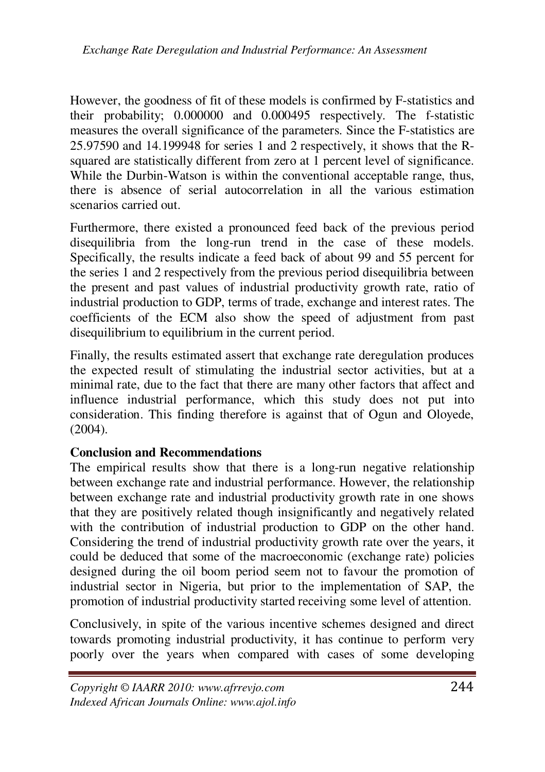However, the goodness of fit of these models is confirmed by F-statistics and their probability; 0.000000 and 0.000495 respectively. The f-statistic measures the overall significance of the parameters. Since the F-statistics are 25.97590 and 14.199948 for series 1 and 2 respectively, it shows that the Rsquared are statistically different from zero at 1 percent level of significance. While the Durbin-Watson is within the conventional acceptable range, thus, there is absence of serial autocorrelation in all the various estimation scenarios carried out.

Furthermore, there existed a pronounced feed back of the previous period disequilibria from the long-run trend in the case of these models. Specifically, the results indicate a feed back of about 99 and 55 percent for the series 1 and 2 respectively from the previous period disequilibria between the present and past values of industrial productivity growth rate, ratio of industrial production to GDP, terms of trade, exchange and interest rates. The coefficients of the ECM also show the speed of adjustment from past disequilibrium to equilibrium in the current period.

Finally, the results estimated assert that exchange rate deregulation produces the expected result of stimulating the industrial sector activities, but at a minimal rate, due to the fact that there are many other factors that affect and influence industrial performance, which this study does not put into consideration. This finding therefore is against that of Ogun and Oloyede,  $(2004)$ .

#### **Conclusion and Recommendations**

The empirical results show that there is a long-run negative relationship between exchange rate and industrial performance. However, the relationship between exchange rate and industrial productivity growth rate in one shows that they are positively related though insignificantly and negatively related with the contribution of industrial production to GDP on the other hand. Considering the trend of industrial productivity growth rate over the years, it could be deduced that some of the macroeconomic (exchange rate) policies designed during the oil boom period seem not to favour the promotion of industrial sector in Nigeria, but prior to the implementation of SAP, the promotion of industrial productivity started receiving some level of attention.

Conclusively, in spite of the various incentive schemes designed and direct towards promoting industrial productivity, it has continue to perform very poorly over the years when compared with cases of some developing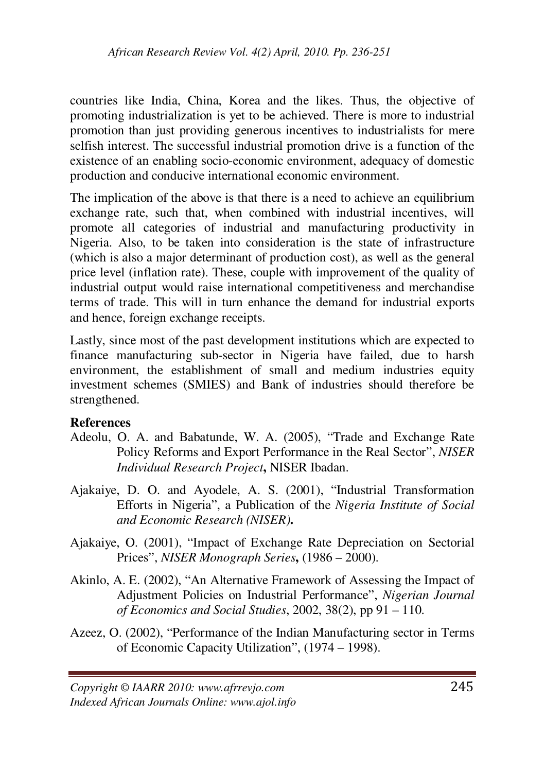countries like India, China, Korea and the likes. Thus, the objective of promoting industrialization is yet to be achieved. There is more to industrial promotion than just providing generous incentives to industrialists for mere selfish interest. The successful industrial promotion drive is a function of the existence of an enabling socio-economic environment, adequacy of domestic production and conducive international economic environment.

The implication of the above is that there is a need to achieve an equilibrium exchange rate, such that, when combined with industrial incentives, will promote all categories of industrial and manufacturing productivity in Nigeria. Also, to be taken into consideration is the state of infrastructure (which is also a major determinant of production cost), as well as the general price level (inflation rate). These, couple with improvement of the quality of industrial output would raise international competitiveness and merchandise terms of trade. This will in turn enhance the demand for industrial exports and hence, foreign exchange receipts.

Lastly, since most of the past development institutions which are expected to finance manufacturing sub-sector in Nigeria have failed, due to harsh environment, the establishment of small and medium industries equity investment schemes (SMIES) and Bank of industries should therefore be strengthened.

#### **References**

- Adeolu, O. A. and Babatunde, W. A. (2005), "Trade and Exchange Rate Policy Reforms and Export Performance in the Real Sector", *NISER Individual Research Project***,** NISER Ibadan.
- Ajakaiye, D. O. and Ayodele, A. S. (2001), "Industrial Transformation Efforts in Nigeria", a Publication of the *Nigeria Institute of Social and Economic Research (NISER)***.**
- Ajakaiye, O. (2001), "Impact of Exchange Rate Depreciation on Sectorial Prices", *NISER Monograph Series***,** (1986 – 2000).
- Akinlo, A. E. (2002), "An Alternative Framework of Assessing the Impact of Adjustment Policies on Industrial Performance", *Nigerian Journal of Economics and Social Studies*, 2002, 38(2), pp 91 – 110.
- Azeez, O. (2002), "Performance of the Indian Manufacturing sector in Terms of Economic Capacity Utilization", (1974 – 1998).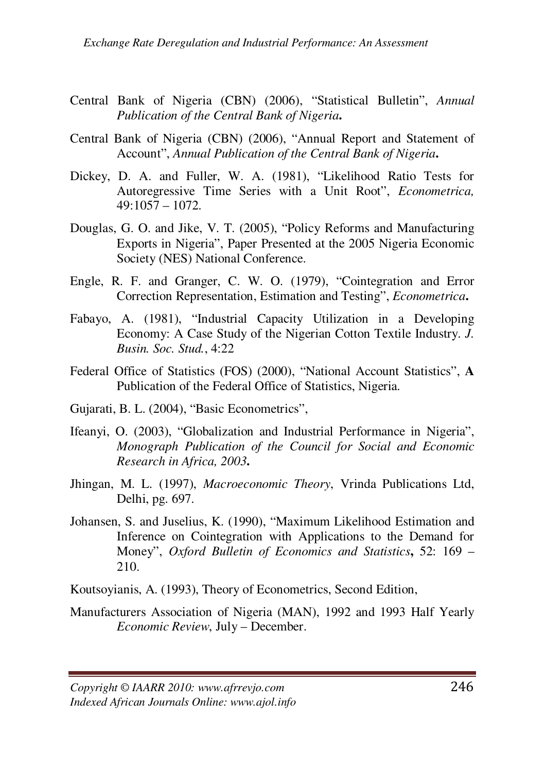- Central Bank of Nigeria (CBN) (2006), "Statistical Bulletin", *Annual Publication of the Central Bank of Nigeria***.**
- Central Bank of Nigeria (CBN) (2006), "Annual Report and Statement of Account", *Annual Publication of the Central Bank of Nigeria***.**
- Dickey, D. A. and Fuller, W. A. (1981), "Likelihood Ratio Tests for Autoregressive Time Series with a Unit Root", *Econometrica,* 49:1057 – 1072.
- Douglas, G. O. and Jike, V. T. (2005), "Policy Reforms and Manufacturing Exports in Nigeria", Paper Presented at the 2005 Nigeria Economic Society (NES) National Conference.
- Engle, R. F. and Granger, C. W. O. (1979), "Cointegration and Error Correction Representation, Estimation and Testing", *Econometrica***.**
- Fabayo, A. (1981), "Industrial Capacity Utilization in a Developing Economy: A Case Study of the Nigerian Cotton Textile Industry. *J. Busin. Soc. Stud.*, 4:22
- Federal Office of Statistics (FOS) (2000), "National Account Statistics", **A**  Publication of the Federal Office of Statistics, Nigeria.
- Gujarati, B. L. (2004), "Basic Econometrics",
- Ifeanyi, O. (2003), "Globalization and Industrial Performance in Nigeria", *Monograph Publication of the Council for Social and Economic Research in Africa, 2003***.**
- Jhingan, M. L. (1997), *Macroeconomic Theory*, Vrinda Publications Ltd, Delhi, pg. 697.
- Johansen, S. and Juselius, K. (1990), "Maximum Likelihood Estimation and Inference on Cointegration with Applications to the Demand for Money", *Oxford Bulletin of Economics and Statistics***,** 52: 169 – 210.
- Koutsoyianis, A. (1993), Theory of Econometrics, Second Edition,
- Manufacturers Association of Nigeria (MAN), 1992 and 1993 Half Yearly *Economic Review*, July – December.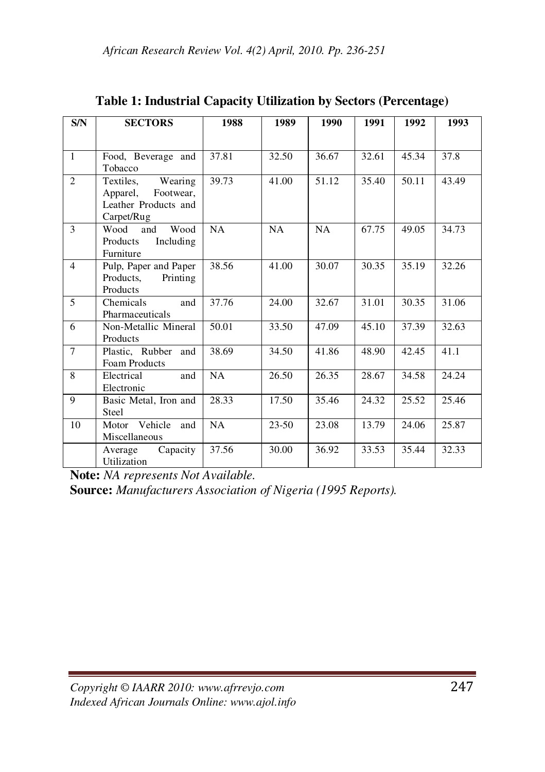| S/N             | <b>SECTORS</b>                                                                   | 1988      | 1989      | 1990      | 1991  | 1992  | 1993  |
|-----------------|----------------------------------------------------------------------------------|-----------|-----------|-----------|-------|-------|-------|
| $\mathbf{1}$    | Food, Beverage and                                                               | 37.81     | 32.50     | 36.67     | 32.61 | 45.34 | 37.8  |
|                 | Tobacco                                                                          |           |           |           |       |       |       |
| $\overline{c}$  | Wearing<br>Textiles,<br>Apparel, Footwear,<br>Leather Products and<br>Carpet/Rug | 39.73     | 41.00     | 51.12     | 35.40 | 50.11 | 43.49 |
| $\mathbf{3}$    | Wood<br>Wood<br>and<br>Products<br>Including<br>Furniture                        | <b>NA</b> | <b>NA</b> | <b>NA</b> | 67.75 | 49.05 | 34.73 |
| $\overline{4}$  | Pulp, Paper and Paper<br>Products.<br>Printing<br>Products                       | 38.56     | 41.00     | 30.07     | 30.35 | 35.19 | 32.26 |
| 5               | Chemicals<br>and<br>Pharmaceuticals                                              | 37.76     | 24.00     | 32.67     | 31.01 | 30.35 | 31.06 |
| 6               | Non-Metallic Mineral<br>Products                                                 | 50.01     | 33.50     | 47.09     | 45.10 | 37.39 | 32.63 |
| $7\phantom{.0}$ | Plastic, Rubber and<br>Foam Products                                             | 38.69     | 34.50     | 41.86     | 48.90 | 42.45 | 41.1  |
| 8               | Electrical<br>and<br>Electronic                                                  | NA        | 26.50     | 26.35     | 28.67 | 34.58 | 24.24 |
| 9               | Basic Metal, Iron and<br>Steel                                                   | 28.33     | 17.50     | 35.46     | 24.32 | 25.52 | 25.46 |
| 10              | Motor Vehicle<br>and<br>Miscellaneous                                            | NA        | $23 - 50$ | 23.08     | 13.79 | 24.06 | 25.87 |
|                 | Capacity<br>Average<br>Utilization                                               | 37.56     | 30.00     | 36.92     | 33.53 | 35.44 | 32.33 |

**Table 1: Industrial Capacity Utilization by Sectors (Percentage)** 

**Note:** *NA represents Not Available.* 

**Source:** *Manufacturers Association of Nigeria (1995 Reports).*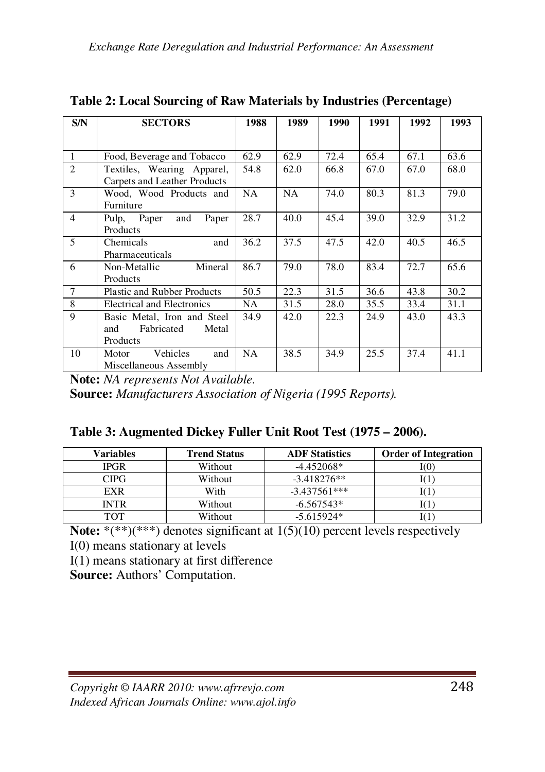| S/N            | <b>SECTORS</b>                                                        | 1988 | 1989 | 1990 | 1991 | 1992 | 1993 |
|----------------|-----------------------------------------------------------------------|------|------|------|------|------|------|
|                |                                                                       |      |      |      |      |      |      |
| 1              | Food, Beverage and Tobacco                                            | 62.9 | 62.9 | 72.4 | 65.4 | 67.1 | 63.6 |
| $\mathcal{L}$  | Textiles, Wearing Apparel,<br>Carpets and Leather Products            | 54.8 | 62.0 | 66.8 | 67.0 | 67.0 | 68.0 |
| $\mathbf{3}$   | Wood, Wood Products and<br>Furniture                                  | NA.  | NA.  | 74.0 | 80.3 | 81.3 | 79.0 |
| $\overline{4}$ | Paper<br>Paper<br>Pulp,<br>and<br>Products                            | 28.7 | 40.0 | 45.4 | 39.0 | 32.9 | 31.2 |
| 5              | Chemicals<br>and<br>Pharmaceuticals                                   | 36.2 | 37.5 | 47.5 | 42.0 | 40.5 | 46.5 |
| 6              | Mineral<br>Non-Metallic<br>Products                                   | 86.7 | 79.0 | 78.0 | 83.4 | 72.7 | 65.6 |
| $\tau$         | <b>Plastic and Rubber Products</b>                                    | 50.5 | 22.3 | 31.5 | 36.6 | 43.8 | 30.2 |
| 8              | Electrical and Electronics                                            | NA.  | 31.5 | 28.0 | 35.5 | 33.4 | 31.1 |
| 9              | Basic Metal, Iron and Steel<br>Fabricated<br>Metal<br>and<br>Products | 34.9 | 42.0 | 22.3 | 24.9 | 43.0 | 43.3 |
| 10             | <b>Vehicles</b><br>and<br>Motor<br>Miscellaneous Assembly             | NA.  | 38.5 | 34.9 | 25.5 | 37.4 | 41.1 |

**Note:** *NA represents Not Available.* 

**Source:** *Manufacturers Association of Nigeria (1995 Reports).* 

|  | Table 3: Augmented Dickey Fuller Unit Root Test (1975 – 2006). |  |  |  |  |
|--|----------------------------------------------------------------|--|--|--|--|
|--|----------------------------------------------------------------|--|--|--|--|

| <b>Variables</b> | <b>Trend Status</b> | <b>ADF</b> Statistics | <b>Order of Integration</b> |
|------------------|---------------------|-----------------------|-----------------------------|
| <b>IPGR</b>      | Without             | $-4.452068*$          | ΙО                          |
| CIPG             | Without             | $-3.418276**$         |                             |
| EXR              | With                | $-3.437561***$        |                             |
| INTR             | Without             | $-6.567543*$          |                             |
| тот              | Without             | $-5.615924*$          |                             |

**Note:** \*(\*\*)(\*\*\*) denotes significant at 1(5)(10) percent levels respectively

I(0) means stationary at levels

I(1) means stationary at first difference

**Source:** Authors' Computation.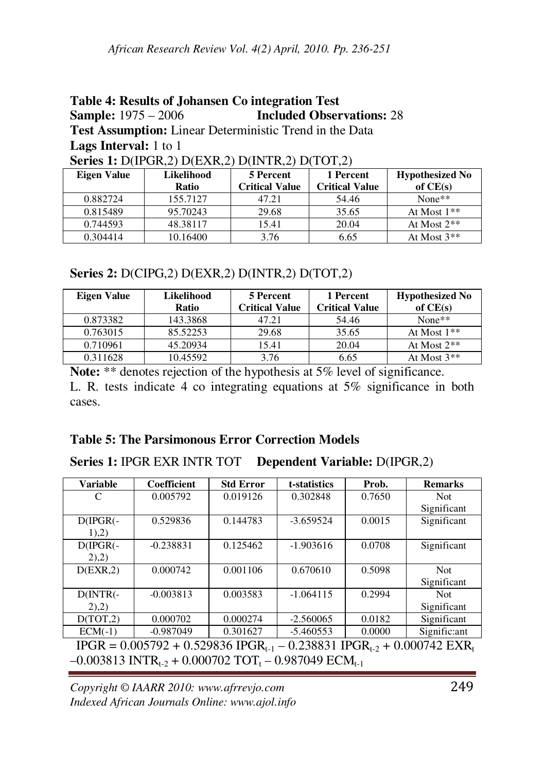#### **Table 4: Results of Johansen Co integration Test Sample:** 1975 – 2006 **Included Observations:** 28 **Test Assumption:** Linear Deterministic Trend in the Data **Lags Interval:** 1 to 1 **Series 1:** D(IPGR,2) D(EXR,2) D(INTR,2) D(TOT,2)

| <b>Eigen Value</b> | Likelihood | 5 Percent             | 1 Percent             | <b>Hypothesized No</b> |
|--------------------|------------|-----------------------|-----------------------|------------------------|
|                    | Ratio      | <b>Critical Value</b> | <b>Critical Value</b> | of $CE(s)$             |
| 0.882724           | 155.7127   | 47.21                 | 54.46                 | $None**$               |
| 0.815489           | 95.70243   | 29.68                 | 35.65                 | At Most $1**$          |
| 0.744593           | 48.38117   | 15.41                 | 20.04                 | At Most $2**$          |
| 0.304414           | 10.16400   | 3.76                  | 6.65                  | At Most $3**$          |

**Series 2:** D(CIPG,2) D(EXR,2) D(INTR,2) D(TOT,2)

| <b>Eigen Value</b> | Likelihood<br>Ratio | 5 Percent<br><b>Critical Value</b> | 1 Percent<br><b>Critical Value</b> | <b>Hypothesized No</b><br>of $CE(s)$ |
|--------------------|---------------------|------------------------------------|------------------------------------|--------------------------------------|
| 0.873382           | 143.3868            | 47.21                              | 54.46                              | $None**$                             |
| 0.763015           | 85.52253            | 29.68                              | 35.65                              | At Most $1**$                        |
| 0.710961           | 45.20934            | 15.41                              | 20.04                              | At Most $2**$                        |
| 0.311628           | 10.45592            | 3.76                               | 6.65                               | At Most $3**$                        |

Note: \*\* denotes rejection of the hypothesis at 5% level of significance. L. R. tests indicate 4 co integrating equations at 5% significance in both cases.

### **Table 5: The Parsimonous Error Correction Models**

**Series 1:** IPGR EXR INTR TOT **Dependent Variable:** D(IPGR,2)

| <b>Variable</b>                                                                           | <b>Coefficient</b> | <b>Std Error</b> | t-statistics | Prob.  | <b>Remarks</b> |  |
|-------------------------------------------------------------------------------------------|--------------------|------------------|--------------|--------|----------------|--|
| C                                                                                         | 0.005792           | 0.019126         | 0.302848     | 0.7650 | Not.           |  |
|                                                                                           |                    |                  |              |        | Significant    |  |
| $D(IPGR)$ -                                                                               | 0.529836           | 0.144783         | $-3.659524$  | 0.0015 | Significant    |  |
| $1)$ , $2)$                                                                               |                    |                  |              |        |                |  |
| $D(IPGR)$ -                                                                               | $-0.238831$        | 0.125462         | $-1.903616$  | 0.0708 | Significant    |  |
| (2),2)                                                                                    |                    |                  |              |        |                |  |
| D(EXR, 2)                                                                                 | 0.000742           | 0.001106         | 0.670610     | 0.5098 | Not.           |  |
|                                                                                           |                    |                  |              |        | Significant    |  |
| $D(INTR(-))$                                                                              | $-0.003813$        | 0.003583         | $-1.064115$  | 0.2994 | <b>Not</b>     |  |
| $(2)$ , $(2)$                                                                             |                    |                  |              |        | Significant    |  |
| D(TOT, 2)                                                                                 | 0.000702           | 0.000274         | $-2.560065$  | 0.0182 | Significant    |  |
| $ECM(-1)$                                                                                 | $-0.987049$        | 0.301627         | $-5.460553$  | 0.0000 | Signific: ant  |  |
| $IPGR = 0.005792 + 0.529836$ $IPGR_{t-1} - 0.238831$ $IPGR_{t-2} + 0.000742$ $EXR_t$      |                    |                  |              |        |                |  |
| $-0.003813$ INTR <sub>t-2</sub> + 0.000702 TOT <sub>t</sub> – 0.987049 ECM <sub>t-1</sub> |                    |                  |              |        |                |  |

*Copyright © IAARR 2010: www.afrrevjo.com* 249 *Indexed African Journals Online: www.ajol.info*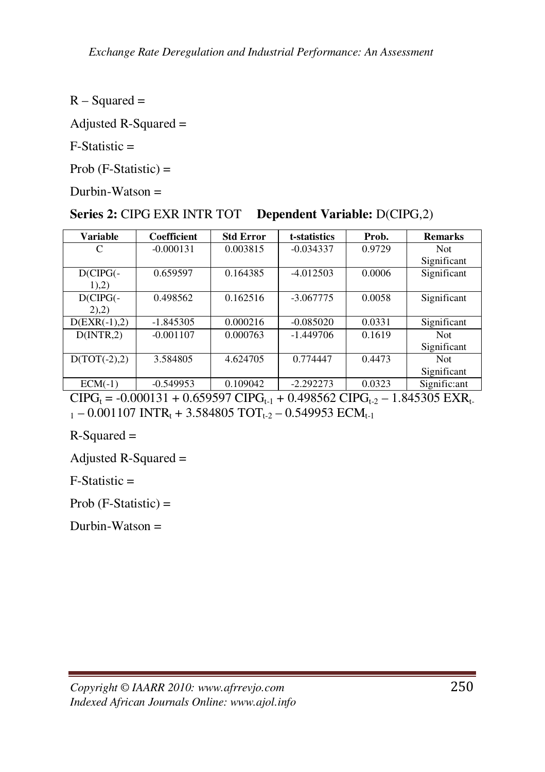$R - Squared =$ 

Adjusted R-Squared =

 $F-Statistic =$ 

Prob  $(F-Statistic)$  =

Durbin-Watson  $=$ 

#### **Series 2:** CIPG EXR INTR TOT **Dependent Variable:** D(CIPG,2)

| <b>Variable</b> | <b>Coefficient</b> | <b>Std Error</b> | t-statistics | Prob.  | <b>Remarks</b> |
|-----------------|--------------------|------------------|--------------|--------|----------------|
| C               | $-0.000131$        | 0.003815         | $-0.034337$  | 0.9729 | Not.           |
|                 |                    |                  |              |        | Significant    |
| $D(CIPG(-))$    | 0.659597           | 0.164385         | $-4.012503$  | 0.0006 | Significant    |
| 1),2)           |                    |                  |              |        |                |
| $D(CIPG(-))$    | 0.498562           | 0.162516         | $-3.067775$  | 0.0058 | Significant    |
| (2),2)          |                    |                  |              |        |                |
| $D(EXR(-1),2)$  | $-1.845305$        | 0.000216         | $-0.085020$  | 0.0331 | Significant    |
| D(INTER, 2)     | $-0.001107$        | 0.000763         | $-1.449706$  | 0.1619 | Not.           |
|                 |                    |                  |              |        | Significant    |
| $D(TOT(-2), 2)$ | 3.584805           | 4.624705         | 0.774447     | 0.4473 | <b>Not</b>     |
|                 |                    |                  |              |        | Significant    |
| $ECM(-1)$       | $-0.549953$        | 0.109042         | $-2.292273$  | 0.0323 | Signific:ant   |

 $CIPG_t = -0.000131 + 0.659597 CIPG_{t-1} + 0.498562 CIPG_{t-2} - 1.845305 EXR_{t-1}$  $_{1}$  – 0.001107 INTR<sub>t</sub> + 3.584805 TOT<sub>t-2</sub> – 0.549953 ECM<sub>t-1</sub>

 $R-Squared =$ 

Adjusted R-Squared =

 $F-Statistic =$ 

Prob  $(F-Statistic) =$ 

Durbin-Watson =